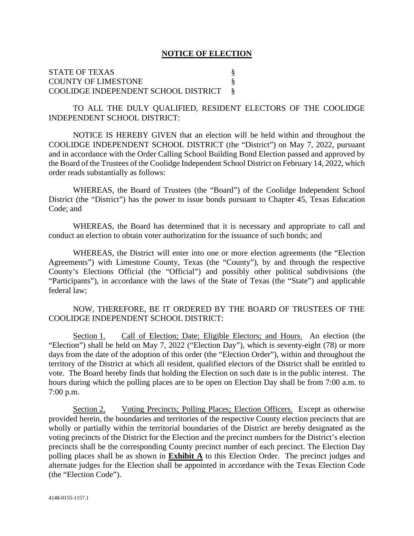#### **NOTICE OF ELECTION**

STATE OF TEXAS COUNTY OF LIMESTONE § COOLIDGE INDEPENDENT SCHOOL DISTRICT §

TO ALL THE DULY QUALIFIED, RESIDENT ELECTORS OF THE COOLIDGE INDEPENDENT SCHOOL DISTRICT:

NOTICE IS HEREBY GIVEN that an election will be held within and throughout the COOLIDGE INDEPENDENT SCHOOL DISTRICT (the "District") on May 7, 2022, pursuant and in accordance with the Order Calling School Building Bond Election passed and approved by the Board of the Trustees of the Coolidge Independent School District on February 14, 2022, which order reads substantially as follows:

WHEREAS, the Board of Trustees (the "Board") of the Coolidge Independent School District (the "District") has the power to issue bonds pursuant to Chapter 45, Texas Education Code; and

WHEREAS, the Board has determined that it is necessary and appropriate to call and conduct an election to obtain voter authorization for the issuance of such bonds; and

WHEREAS, the District will enter into one or more election agreements (the "Election Agreements") with Limestone County, Texas (the "County"), by and through the respective County's Elections Official (the "Official") and possibly other political subdivisions (the "Participants"), in accordance with the laws of the State of Texas (the "State") and applicable federal law;

NOW, THEREFORE, BE IT ORDERED BY THE BOARD OF TRUSTEES OF THE COOLIDGE INDEPENDENT SCHOOL DISTRICT:

Section 1. Call of Election; Date; Eligible Electors; and Hours. An election (the "Election") shall be held on May 7, 2022 ("Election Day"), which is seventy-eight (78) or more days from the date of the adoption of this order (the "Election Order"), within and throughout the territory of the District at which all resident, qualified electors of the District shall be entitled to vote. The Board hereby finds that holding the Election on such date is in the public interest. The hours during which the polling places are to be open on Election Day shall be from 7:00 a.m. to 7:00 p.m.

Section 2. Voting Precincts; Polling Places; Election Officers. Except as otherwise provided herein, the boundaries and territories of the respective County election precincts that are wholly or partially within the territorial boundaries of the District are hereby designated as the voting precincts of the District for the Election and the precinct numbers for the District's election precincts shall be the corresponding County precinct number of each precinct. The Election Day polling places shall be as shown in **Exhibit A** to this Election Order. The precinct judges and alternate judges for the Election shall be appointed in accordance with the Texas Election Code (the "Election Code").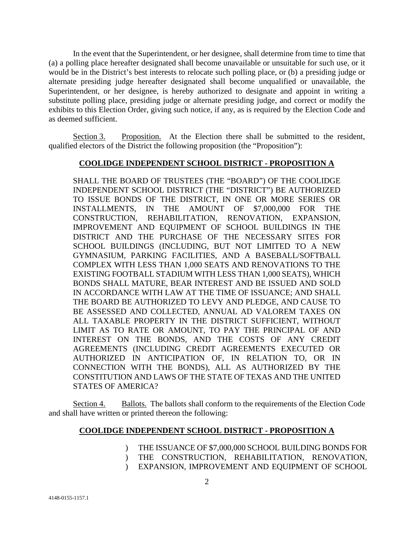In the event that the Superintendent, or her designee, shall determine from time to time that (a) a polling place hereafter designated shall become unavailable or unsuitable for such use, or it would be in the District's best interests to relocate such polling place, or (b) a presiding judge or alternate presiding judge hereafter designated shall become unqualified or unavailable, the Superintendent, or her designee, is hereby authorized to designate and appoint in writing a substitute polling place, presiding judge or alternate presiding judge, and correct or modify the exhibits to this Election Order, giving such notice, if any, as is required by the Election Code and as deemed sufficient.

Section 3. Proposition. At the Election there shall be submitted to the resident, qualified electors of the District the following proposition (the "Proposition"):

#### **COOLIDGE INDEPENDENT SCHOOL DISTRICT - PROPOSITION A**

SHALL THE BOARD OF TRUSTEES (THE "BOARD") OF THE COOLIDGE INDEPENDENT SCHOOL DISTRICT (THE "DISTRICT") BE AUTHORIZED TO ISSUE BONDS OF THE DISTRICT, IN ONE OR MORE SERIES OR INSTALLMENTS, IN THE AMOUNT OF \$7,000,000 FOR THE CONSTRUCTION, REHABILITATION, RENOVATION, EXPANSION, IMPROVEMENT AND EQUIPMENT OF SCHOOL BUILDINGS IN THE DISTRICT AND THE PURCHASE OF THE NECESSARY SITES FOR SCHOOL BUILDINGS (INCLUDING, BUT NOT LIMITED TO A NEW GYMNASIUM, PARKING FACILITIES, AND A BASEBALL/SOFTBALL COMPLEX WITH LESS THAN 1,000 SEATS AND RENOVATIONS TO THE EXISTING FOOTBALL STADIUM WITH LESS THAN 1,000 SEATS), WHICH BONDS SHALL MATURE, BEAR INTEREST AND BE ISSUED AND SOLD IN ACCORDANCE WITH LAW AT THE TIME OF ISSUANCE; AND SHALL THE BOARD BE AUTHORIZED TO LEVY AND PLEDGE, AND CAUSE TO BE ASSESSED AND COLLECTED, ANNUAL AD VALOREM TAXES ON ALL TAXABLE PROPERTY IN THE DISTRICT SUFFICIENT, WITHOUT LIMIT AS TO RATE OR AMOUNT, TO PAY THE PRINCIPAL OF AND INTEREST ON THE BONDS, AND THE COSTS OF ANY CREDIT AGREEMENTS (INCLUDING CREDIT AGREEMENTS EXECUTED OR AUTHORIZED IN ANTICIPATION OF, IN RELATION TO, OR IN CONNECTION WITH THE BONDS), ALL AS AUTHORIZED BY THE CONSTITUTION AND LAWS OF THE STATE OF TEXAS AND THE UNITED STATES OF AMERICA?

Section 4. Ballots. The ballots shall conform to the requirements of the Election Code and shall have written or printed thereon the following:

#### **COOLIDGE INDEPENDENT SCHOOL DISTRICT - PROPOSITION A**

- $\mathcal{L}$ THE ISSUANCE OF \$7,000,000 SCHOOL BUILDING BONDS FOR
- $\mathcal{L}$ THE CONSTRUCTION, REHABILITATION, RENOVATION,
- $\mathcal{L}$ EXPANSION, IMPROVEMENT AND EQUIPMENT OF SCHOOL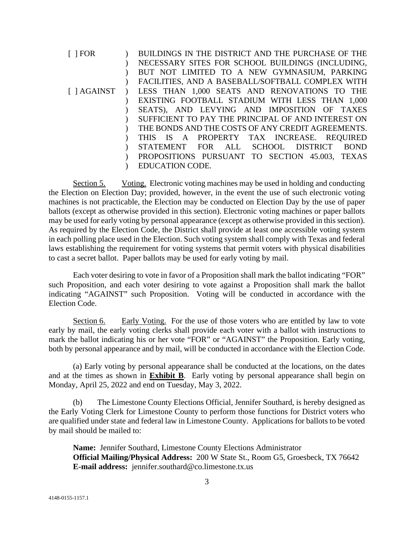| $\lceil$   FOR | BUILDINGS IN THE DISTRICT AND THE PURCHASE OF THE  |
|----------------|----------------------------------------------------|
|                | NECESSARY SITES FOR SCHOOL BUILDINGS (INCLUDING,   |
|                | BUT NOT LIMITED TO A NEW GYMNASIUM, PARKING        |
|                | FACILITIES, AND A BASEBALL/SOFTBALL COMPLEX WITH   |
| [ ] AGAINST    | LESS THAN 1,000 SEATS AND RENOVATIONS TO THE       |
|                | EXISTING FOOTBALL STADIUM WITH LESS THAN 1,000     |
|                | SEATS), AND LEVYING AND IMPOSITION OF TAXES        |
|                | SUFFICIENT TO PAY THE PRINCIPAL OF AND INTEREST ON |
|                | THE BONDS AND THE COSTS OF ANY CREDIT AGREEMENTS.  |
|                | THIS IS A PROPERTY TAX INCREASE. REQUIRED          |
|                | STATEMENT FOR ALL SCHOOL DISTRICT<br><b>BOND</b>   |
|                | PROPOSITIONS PURSUANT TO SECTION 45.003, TEXAS     |
|                | EDUCATION CODE.                                    |
|                |                                                    |

Section 5. Voting. Electronic voting machines may be used in holding and conducting the Election on Election Day; provided, however, in the event the use of such electronic voting machines is not practicable, the Election may be conducted on Election Day by the use of paper ballots (except as otherwise provided in this section). Electronic voting machines or paper ballots may be used for early voting by personal appearance (except as otherwise provided in this section). As required by the Election Code, the District shall provide at least one accessible voting system in each polling place used in the Election. Such voting system shall comply with Texas and federal laws establishing the requirement for voting systems that permit voters with physical disabilities to cast a secret ballot. Paper ballots may be used for early voting by mail.

Each voter desiring to vote in favor of a Proposition shall mark the ballot indicating "FOR" such Proposition, and each voter desiring to vote against a Proposition shall mark the ballot indicating "AGAINST" such Proposition. Voting will be conducted in accordance with the Election Code.

Section 6. Early Voting. For the use of those voters who are entitled by law to vote early by mail, the early voting clerks shall provide each voter with a ballot with instructions to mark the ballot indicating his or her vote "FOR" or "AGAINST" the Proposition. Early voting, both by personal appearance and by mail, will be conducted in accordance with the Election Code.

(a) Early voting by personal appearance shall be conducted at the locations, on the dates and at the times as shown in **Exhibit B**. Early voting by personal appearance shall begin on Monday, April 25, 2022 and end on Tuesday, May 3, 2022.

(b) The Limestone County Elections Official, Jennifer Southard, is hereby designed as the Early Voting Clerk for Limestone County to perform those functions for District voters who are qualified under state and federal law in Limestone County. Applications for ballots to be voted by mail should be mailed to:

**Name:** Jennifer Southard, Limestone County Elections Administrator **Official Mailing/Physical Address:** 200 W State St., Room G5, Groesbeck, TX 76642 **E-mail address:** jennifer.southard@co.limestone.tx.us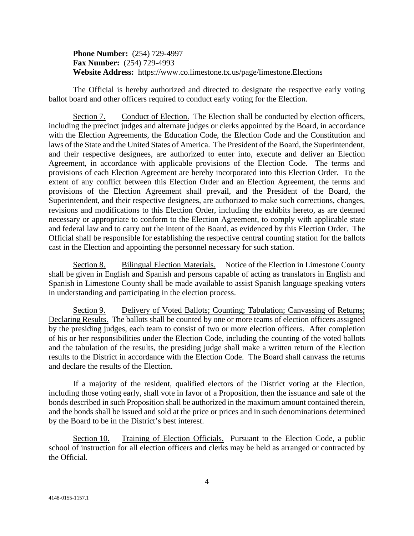**Phone Number:** (254) 729-4997 **Fax Number:** (254) 729-4993 **Website Address:** https://www.co.limestone.tx.us/page/limestone.Elections

The Official is hereby authorized and directed to designate the respective early voting ballot board and other officers required to conduct early voting for the Election.

Section 7. Conduct of Election. The Election shall be conducted by election officers, including the precinct judges and alternate judges or clerks appointed by the Board, in accordance with the Election Agreements, the Education Code, the Election Code and the Constitution and laws of the State and the United States of America. The President of the Board, the Superintendent, and their respective designees, are authorized to enter into, execute and deliver an Election Agreement, in accordance with applicable provisions of the Election Code. The terms and provisions of each Election Agreement are hereby incorporated into this Election Order. To the extent of any conflict between this Election Order and an Election Agreement, the terms and provisions of the Election Agreement shall prevail, and the President of the Board, the Superintendent, and their respective designees, are authorized to make such corrections, changes, revisions and modifications to this Election Order, including the exhibits hereto, as are deemed necessary or appropriate to conform to the Election Agreement, to comply with applicable state and federal law and to carry out the intent of the Board, as evidenced by this Election Order. The Official shall be responsible for establishing the respective central counting station for the ballots cast in the Election and appointing the personnel necessary for such station.

Section 8. Bilingual Election Materials. Notice of the Election in Limestone County shall be given in English and Spanish and persons capable of acting as translators in English and Spanish in Limestone County shall be made available to assist Spanish language speaking voters in understanding and participating in the election process.

Section 9. Delivery of Voted Ballots; Counting; Tabulation; Canvassing of Returns; Declaring Results. The ballots shall be counted by one or more teams of election officers assigned by the presiding judges, each team to consist of two or more election officers. After completion of his or her responsibilities under the Election Code, including the counting of the voted ballots and the tabulation of the results, the presiding judge shall make a written return of the Election results to the District in accordance with the Election Code. The Board shall canvass the returns and declare the results of the Election.

If a majority of the resident, qualified electors of the District voting at the Election, including those voting early, shall vote in favor of a Proposition, then the issuance and sale of the bonds described in such Proposition shall be authorized in the maximum amount contained therein, and the bonds shall be issued and sold at the price or prices and in such denominations determined by the Board to be in the District's best interest.

Section 10. Training of Election Officials. Pursuant to the Election Code, a public school of instruction for all election officers and clerks may be held as arranged or contracted by the Official.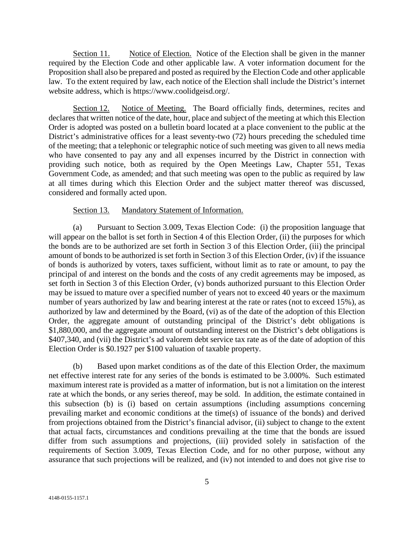Section 11. Notice of Election. Notice of the Election shall be given in the manner required by the Election Code and other applicable law. A voter information document for the Proposition shall also be prepared and posted as required by the Election Code and other applicable law. To the extent required by law, each notice of the Election shall include the District's internet website address, which is https://www.coolidgeisd.org/.

Section 12. Notice of Meeting. The Board officially finds, determines, recites and declares that written notice of the date, hour, place and subject of the meeting at which this Election Order is adopted was posted on a bulletin board located at a place convenient to the public at the District's administrative offices for a least seventy-two (72) hours preceding the scheduled time of the meeting; that a telephonic or telegraphic notice of such meeting was given to all news media who have consented to pay any and all expenses incurred by the District in connection with providing such notice, both as required by the Open Meetings Law, Chapter 551, Texas Government Code, as amended; and that such meeting was open to the public as required by law at all times during which this Election Order and the subject matter thereof was discussed, considered and formally acted upon.

#### Section 13. Mandatory Statement of Information.

(a) Pursuant to Section 3.009, Texas Election Code: (i) the proposition language that will appear on the ballot is set forth in Section 4 of this Election Order, (ii) the purposes for which the bonds are to be authorized are set forth in Section 3 of this Election Order, (iii) the principal amount of bonds to be authorized is set forth in Section 3 of this Election Order, (iv) if the issuance of bonds is authorized by voters, taxes sufficient, without limit as to rate or amount, to pay the principal of and interest on the bonds and the costs of any credit agreements may be imposed, as set forth in Section 3 of this Election Order, (v) bonds authorized pursuant to this Election Order may be issued to mature over a specified number of years not to exceed 40 years or the maximum number of years authorized by law and bearing interest at the rate or rates (not to exceed 15%), as authorized by law and determined by the Board, (vi) as of the date of the adoption of this Election Order, the aggregate amount of outstanding principal of the District's debt obligations is \$1,880,000, and the aggregate amount of outstanding interest on the District's debt obligations is \$407,340, and (vii) the District's ad valorem debt service tax rate as of the date of adoption of this Election Order is \$0.1927 per \$100 valuation of taxable property.

(b) Based upon market conditions as of the date of this Election Order, the maximum net effective interest rate for any series of the bonds is estimated to be 3.000%. Such estimated maximum interest rate is provided as a matter of information, but is not a limitation on the interest rate at which the bonds, or any series thereof, may be sold. In addition, the estimate contained in this subsection (b) is (i) based on certain assumptions (including assumptions concerning prevailing market and economic conditions at the time(s) of issuance of the bonds) and derived from projections obtained from the District's financial advisor, (ii) subject to change to the extent that actual facts, circumstances and conditions prevailing at the time that the bonds are issued differ from such assumptions and projections, (iii) provided solely in satisfaction of the requirements of Section 3.009, Texas Election Code, and for no other purpose, without any assurance that such projections will be realized, and (iv) not intended to and does not give rise to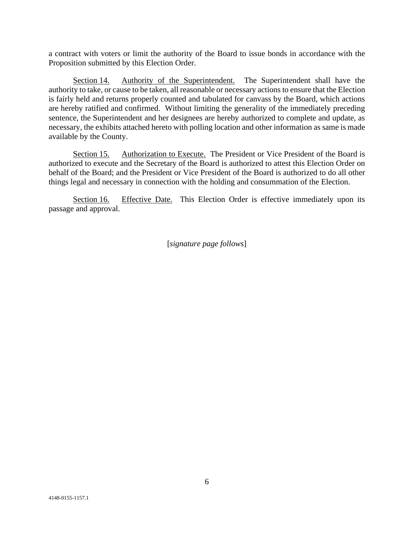a contract with voters or limit the authority of the Board to issue bonds in accordance with the Proposition submitted by this Election Order.

Section 14. Authority of the Superintendent. The Superintendent shall have the authority to take, or cause to be taken, all reasonable or necessary actions to ensure that the Election is fairly held and returns properly counted and tabulated for canvass by the Board, which actions are hereby ratified and confirmed. Without limiting the generality of the immediately preceding sentence, the Superintendent and her designees are hereby authorized to complete and update, as necessary, the exhibits attached hereto with polling location and other information as same is made available by the County.

Section 15. Authorization to Execute. The President or Vice President of the Board is authorized to execute and the Secretary of the Board is authorized to attest this Election Order on behalf of the Board; and the President or Vice President of the Board is authorized to do all other things legal and necessary in connection with the holding and consummation of the Election.

Section 16. Effective Date. This Election Order is effective immediately upon its passage and approval.

[*signature page follows*]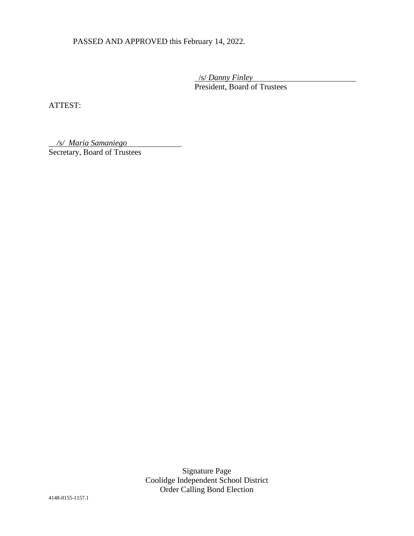PASSED AND APPROVED this February 14, 2022.

 /s/ *Danny Finley* President, Board of Trustees

ATTEST:

*/s/ Maria Samaniego* Secretary, Board of Trustees

> Signature Page Coolidge Independent School District Order Calling Bond Election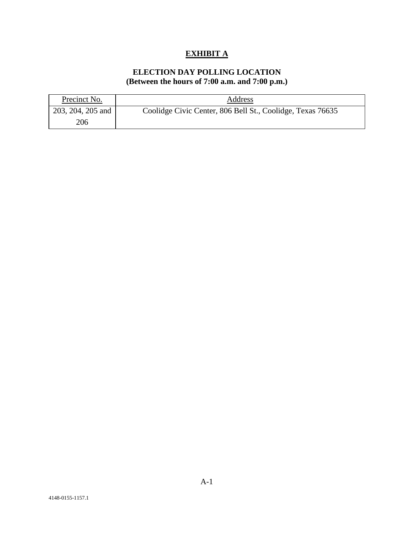## **EXHIBIT A**

## **ELECTION DAY POLLING LOCATION (Between the hours of 7:00 a.m. and 7:00 p.m.)**

| Precinct No.      | Address                                                    |
|-------------------|------------------------------------------------------------|
| 203, 204, 205 and | Coolidge Civic Center, 806 Bell St., Coolidge, Texas 76635 |
| 206               |                                                            |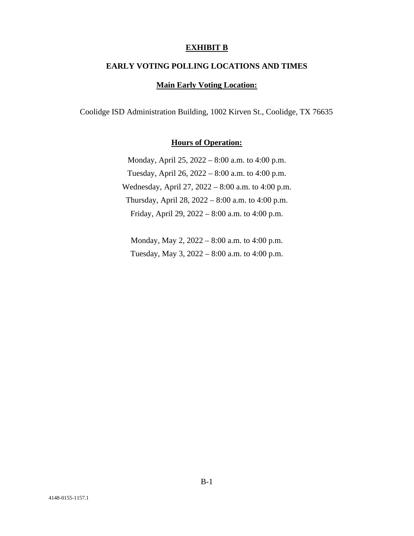#### **EXHIBIT B**

#### **EARLY VOTING POLLING LOCATIONS AND TIMES**

#### **Main Early Voting Location:**

Coolidge ISD Administration Building, 1002 Kirven St., Coolidge, TX 76635

## **Hours of Operation:**

Monday, April 25, 2022 – 8:00 a.m. to 4:00 p.m. Tuesday, April 26, 2022 – 8:00 a.m. to 4:00 p.m. Wednesday, April 27, 2022 – 8:00 a.m. to 4:00 p.m. Thursday, April 28, 2022 – 8:00 a.m. to 4:00 p.m. Friday, April 29, 2022 – 8:00 a.m. to 4:00 p.m.

Monday, May 2, 2022 – 8:00 a.m. to 4:00 p.m. Tuesday, May 3, 2022 – 8:00 a.m. to 4:00 p.m.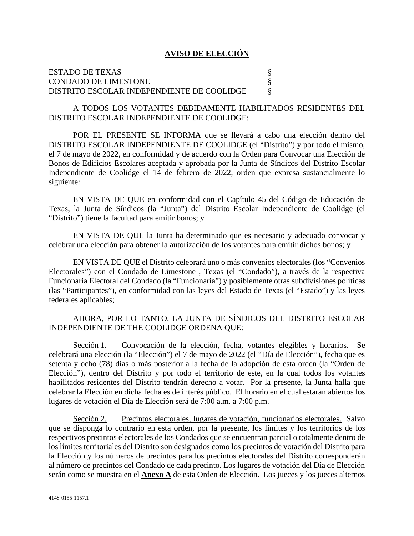#### **AVISO DE ELECCIÓN**

### ESTADO DE TEXAS § CONDADO DE LIMESTONE § DISTRITO ESCOLAR INDEPENDIENTE DE COOLIDGE §

A TODOS LOS VOTANTES DEBIDAMENTE HABILITADOS RESIDENTES DEL DISTRITO ESCOLAR INDEPENDIENTE DE COOLIDGE:

POR EL PRESENTE SE INFORMA que se llevará a cabo una elección dentro del DISTRITO ESCOLAR INDEPENDIENTE DE COOLIDGE (el "Distrito") y por todo el mismo, el 7 de mayo de 2022, en conformidad y de acuerdo con la Orden para Convocar una Elección de Bonos de Edificios Escolares aceptada y aprobada por la Junta de Síndicos del Distrito Escolar Independiente de Coolidge el 14 de febrero de 2022, orden que expresa sustancialmente lo siguiente:

EN VISTA DE QUE en conformidad con el Capítulo 45 del Código de Educación de Texas, la Junta de Síndicos (la "Junta") del Distrito Escolar Independiente de Coolidge (el "Distrito") tiene la facultad para emitir bonos; y

EN VISTA DE QUE la Junta ha determinado que es necesario y adecuado convocar y celebrar una elección para obtener la autorización de los votantes para emitir dichos bonos; y

EN VISTA DE QUE el Distrito celebrará uno o más convenios electorales (los "Convenios Electorales") con el Condado de Limestone , Texas (el "Condado"), a través de la respectiva Funcionaria Electoral del Condado (la "Funcionaria") y posiblemente otras subdivisiones políticas (las "Participantes"), en conformidad con las leyes del Estado de Texas (el "Estado") y las leyes federales aplicables;

## AHORA, POR LO TANTO, LA JUNTA DE SÍNDICOS DEL DISTRITO ESCOLAR INDEPENDIENTE DE THE COOLIDGE ORDENA QUE:

Sección 1. Convocación de la elección, fecha, votantes elegibles y horarios. Se celebrará una elección (la "Elección") el 7 de mayo de 2022 (el "Día de Elección"), fecha que es setenta y ocho (78) días o más posterior a la fecha de la adopción de esta orden (la "Orden de Elección"), dentro del Distrito y por todo el territorio de este, en la cual todos los votantes habilitados residentes del Distrito tendrán derecho a votar. Por la presente, la Junta halla que celebrar la Elección en dicha fecha es de interés público. El horario en el cual estarán abiertos los lugares de votación el Día de Elección será de 7:00 a.m. a 7:00 p.m.

Sección 2. Precintos electorales, lugares de votación, funcionarios electorales. Salvo que se disponga lo contrario en esta orden, por la presente, los límites y los territorios de los respectivos precintos electorales de los Condados que se encuentran parcial o totalmente dentro de los límites territoriales del Distrito son designados como los precintos de votación del Distrito para la Elección y los números de precintos para los precintos electorales del Distrito corresponderán al número de precintos del Condado de cada precinto. Los lugares de votación del Día de Elección serán como se muestra en el **Anexo A** de esta Orden de Elección. Los jueces y los jueces alternos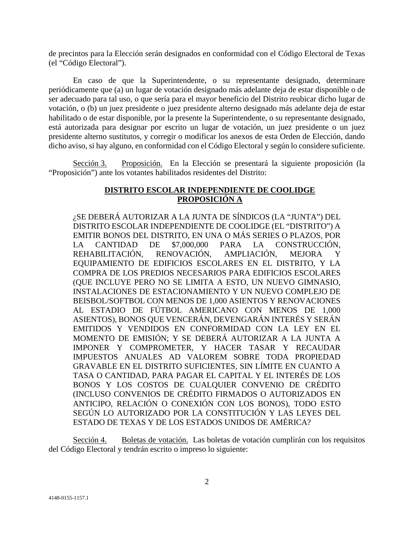de precintos para la Elección serán designados en conformidad con el Código Electoral de Texas (el "Código Electoral").

En caso de que la Superintendente, o su representante designado, determinare periódicamente que (a) un lugar de votación designado más adelante deja de estar disponible o de ser adecuado para tal uso, o que sería para el mayor beneficio del Distrito reubicar dicho lugar de votación, o (b) un juez presidente o juez presidente alterno designado más adelante deja de estar habilitado o de estar disponible, por la presente la Superintendente, o su representante designado, está autorizada para designar por escrito un lugar de votación, un juez presidente o un juez presidente alterno sustitutos, y corregir o modificar los anexos de esta Orden de Elección, dando dicho aviso, si hay alguno, en conformidad con el Código Electoral y según lo considere suficiente.

Sección 3. Proposición. En la Elección se presentará la siguiente proposición (la "Proposición") ante los votantes habilitados residentes del Distrito:

### **DISTRITO ESCOLAR INDEPENDIENTE DE COOLIDGE PROPOSICIÓN A**

¿SE DEBERÁ AUTORIZAR A LA JUNTA DE SÍNDICOS (LA "JUNTA") DEL DISTRITO ESCOLAR INDEPENDIENTE DE COOLIDGE (EL "DISTRITO") A EMITIR BONOS DEL DISTRITO, EN UNA O MÁS SERIES O PLAZOS, POR LA CANTIDAD DE \$7,000,000 PARA LA CONSTRUCCIÓN, REHABILITACIÓN, RENOVACIÓN, AMPLIACIÓN, MEJORA Y EQUIPAMIENTO DE EDIFICIOS ESCOLARES EN EL DISTRITO, Y LA COMPRA DE LOS PREDIOS NECESARIOS PARA EDIFICIOS ESCOLARES (QUE INCLUYE PERO NO SE LIMITA A ESTO, UN NUEVO GIMNASIO, INSTALACIONES DE ESTACIONAMIENTO Y UN NUEVO COMPLEJO DE BEISBOL/SOFTBOL CON MENOS DE 1,000 ASIENTOS Y RENOVACIONES AL ESTADIO DE FÚTBOL AMERICANO CON MENOS DE 1,000 ASIENTOS), BONOS QUE VENCERÁN, DEVENGARÁN INTERÉS Y SERÁN EMITIDOS Y VENDIDOS EN CONFORMIDAD CON LA LEY EN EL MOMENTO DE EMISIÓN; Y SE DEBERÁ AUTORIZAR A LA JUNTA A IMPONER Y COMPROMETER, Y HACER TASAR Y RECAUDAR IMPUESTOS ANUALES AD VALOREM SOBRE TODA PROPIEDAD GRAVABLE EN EL DISTRITO SUFICIENTES, SIN LÍMITE EN CUANTO A TASA O CANTIDAD, PARA PAGAR EL CAPITAL Y EL INTERÉS DE LOS BONOS Y LOS COSTOS DE CUALQUIER CONVENIO DE CRÉDITO (INCLUSO CONVENIOS DE CRÉDITO FIRMADOS O AUTORIZADOS EN ANTICIPO, RELACIÓN O CONEXIÓN CON LOS BONOS), TODO ESTO SEGÚN LO AUTORIZADO POR LA CONSTITUCIÓN Y LAS LEYES DEL ESTADO DE TEXAS Y DE LOS ESTADOS UNIDOS DE AMÉRICA?

Sección 4. Boletas de votación. Las boletas de votación cumplirán con los requisitos del Código Electoral y tendrán escrito o impreso lo siguiente: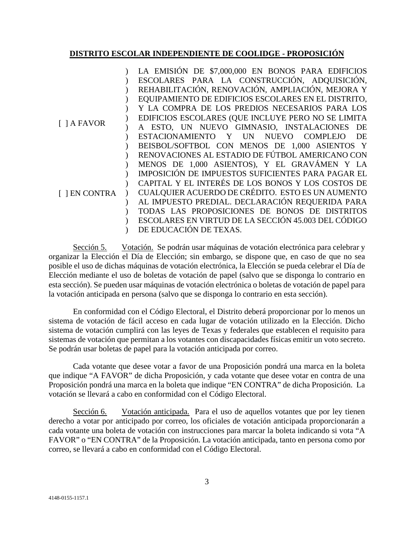#### **DISTRITO ESCOLAR INDEPENDIENTE DE COOLIDGE - PROPOSICIÓN**

|                    | LA EMISIÓN DE \$7,000,000 EN BONOS PARA EDIFICIOS      |
|--------------------|--------------------------------------------------------|
|                    | ESCOLARES PARA LA CONSTRUCCIÓN, ADQUISICIÓN,           |
|                    | REHABILITACIÓN, RENOVACIÓN, AMPLIACIÓN, MEJORA Y       |
|                    | EQUIPAMIENTO DE EDIFICIOS ESCOLARES EN EL DISTRITO,    |
|                    | Y LA COMPRA DE LOS PREDIOS NECESARIOS PARA LOS         |
|                    | EDIFICIOS ESCOLARES (QUE INCLUYE PERO NO SE LIMITA     |
| $\lceil$ ] A FAVOR | A ESTO, UN NUEVO GIMNASIO, INSTALACIONES DE            |
|                    | ESTACIONAMIENTO Y UN<br>COMPLEJO<br>DE<br><b>NUEVO</b> |
|                    | BEISBOL/SOFTBOL CON MENOS DE 1,000 ASIENTOS Y          |
|                    | RENOVACIONES AL ESTADIO DE FÚTBOL AMERICANO CON        |
| <b>J EN CONTRA</b> | MENOS DE 1,000 ASIENTOS), Y EL GRAVÁMEN Y LA           |
|                    | IMPOSICIÓN DE IMPUESTOS SUFICIENTES PARA PAGAR EL      |
|                    | CAPITAL Y EL INTERÉS DE LOS BONOS Y LOS COSTOS DE      |
|                    | CUALQUIER ACUERDO DE CRÉDITO. ESTO ES UN AUMENTO       |
|                    | AL IMPUESTO PREDIAL. DECLARACIÓN REQUERIDA PARA        |
|                    | TODAS LAS PROPOSICIONES DE BONOS DE DISTRITOS          |
|                    | ESCOLARES EN VIRTUD DE LA SECCIÓN 45.003 DEL CÓDIGO    |
|                    | DE EDUCACIÓN DE TEXAS.                                 |

Sección 5. Votación. Se podrán usar máquinas de votación electrónica para celebrar y organizar la Elección el Día de Elección; sin embargo, se dispone que, en caso de que no sea posible el uso de dichas máquinas de votación electrónica, la Elección se pueda celebrar el Día de Elección mediante el uso de boletas de votación de papel (salvo que se disponga lo contrario en esta sección). Se pueden usar máquinas de votación electrónica o boletas de votación de papel para la votación anticipada en persona (salvo que se disponga lo contrario en esta sección).

En conformidad con el Código Electoral, el Distrito deberá proporcionar por lo menos un sistema de votación de fácil acceso en cada lugar de votación utilizado en la Elección. Dicho sistema de votación cumplirá con las leyes de Texas y federales que establecen el requisito para sistemas de votación que permitan a los votantes con discapacidades físicas emitir un voto secreto. Se podrán usar boletas de papel para la votación anticipada por correo.

Cada votante que desee votar a favor de una Proposición pondrá una marca en la boleta que indique "A FAVOR" de dicha Proposición, y cada votante que desee votar en contra de una Proposición pondrá una marca en la boleta que indique "EN CONTRA" de dicha Proposición. La votación se llevará a cabo en conformidad con el Código Electoral.

Sección 6. Votación anticipada. Para el uso de aquellos votantes que por ley tienen derecho a votar por anticipado por correo, los oficiales de votación anticipada proporcionarán a cada votante una boleta de votación con instrucciones para marcar la boleta indicando si vota "A FAVOR" o "EN CONTRA" de la Proposición. La votación anticipada, tanto en persona como por correo, se llevará a cabo en conformidad con el Código Electoral.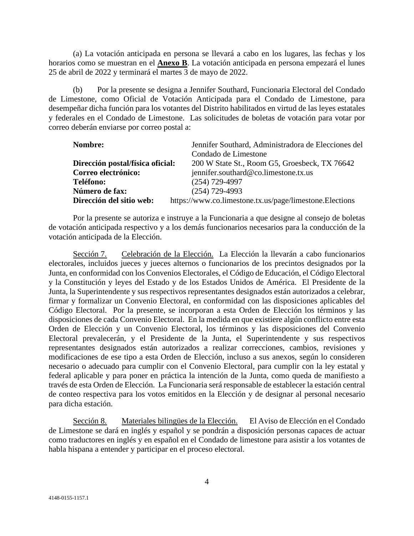(a) La votación anticipada en persona se llevará a cabo en los lugares, las fechas y los horarios como se muestran en el **Anexo B**. La votación anticipada en persona empezará el lunes 25 de abril de 2022 y terminará el martes 3 de mayo de 2022.

(b) Por la presente se designa a Jennifer Southard, Funcionaria Electoral del Condado de Limestone, como Oficial de Votación Anticipada para el Condado de Limestone, para desempeñar dicha función para los votantes del Distrito habilitados en virtud de las leyes estatales y federales en el Condado de Limestone. Las solicitudes de boletas de votación para votar por correo deberán enviarse por correo postal a:

| Nombre:                          | Jennifer Southard, Administradora de Elecciones del     |
|----------------------------------|---------------------------------------------------------|
|                                  | Condado de Limestone                                    |
| Dirección postal/física oficial: | 200 W State St., Room G5, Groesbeck, TX 76642           |
| Correo electrónico:              | jennifer.southard@co.limestone.tx.us                    |
| Teléfono:                        | $(254)$ 729-4997                                        |
| Número de fax:                   | $(254)$ 729-4993                                        |
| Dirección del sitio web:         | https://www.co.limestone.tx.us/page/limestone.Elections |

Por la presente se autoriza e instruye a la Funcionaria a que designe al consejo de boletas de votación anticipada respectivo y a los demás funcionarios necesarios para la conducción de la votación anticipada de la Elección.

Sección 7. Celebración de la Elección. La Elección la llevarán a cabo funcionarios electorales, incluidos jueces y jueces alternos o funcionarios de los precintos designados por la Junta, en conformidad con los Convenios Electorales, el Código de Educación, el Código Electoral y la Constitución y leyes del Estado y de los Estados Unidos de América. El Presidente de la Junta, la Superintendente y sus respectivos representantes designados están autorizados a celebrar, firmar y formalizar un Convenio Electoral, en conformidad con las disposiciones aplicables del Código Electoral. Por la presente, se incorporan a esta Orden de Elección los términos y las disposiciones de cada Convenio Electoral. En la medida en que existiere algún conflicto entre esta Orden de Elección y un Convenio Electoral, los términos y las disposiciones del Convenio Electoral prevalecerán, y el Presidente de la Junta, el Superintendente y sus respectivos representantes designados están autorizados a realizar correcciones, cambios, revisiones y modificaciones de ese tipo a esta Orden de Elección, incluso a sus anexos, según lo consideren necesario o adecuado para cumplir con el Convenio Electoral, para cumplir con la ley estatal y federal aplicable y para poner en práctica la intención de la Junta, como queda de manifiesto a través de esta Orden de Elección. La Funcionaria será responsable de establecer la estación central de conteo respectiva para los votos emitidos en la Elección y de designar al personal necesario para dicha estación.

Sección 8. Materiales bilingües de la Elección. El Aviso de Elección en el Condado de Limestone se dará en inglés y español y se pondrán a disposición personas capaces de actuar como traductores en inglés y en español en el Condado de limestone para asistir a los votantes de habla hispana a entender y participar en el proceso electoral.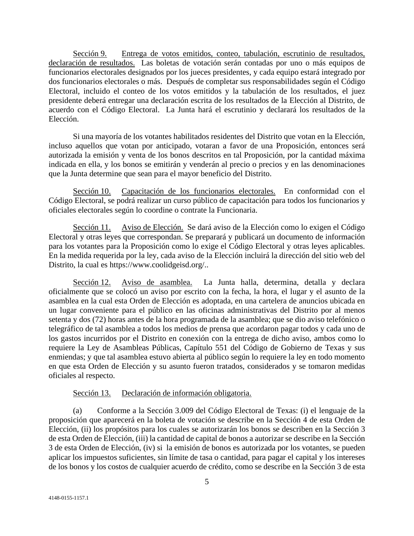Sección 9. Entrega de votos emitidos, conteo, tabulación, escrutinio de resultados, declaración de resultados. Las boletas de votación serán contadas por uno o más equipos de funcionarios electorales designados por los jueces presidentes, y cada equipo estará integrado por dos funcionarios electorales o más. Después de completar sus responsabilidades según el Código Electoral, incluido el conteo de los votos emitidos y la tabulación de los resultados, el juez presidente deberá entregar una declaración escrita de los resultados de la Elección al Distrito, de acuerdo con el Código Electoral. La Junta hará el escrutinio y declarará los resultados de la Elección.

Si una mayoría de los votantes habilitados residentes del Distrito que votan en la Elección, incluso aquellos que votan por anticipado, votaran a favor de una Proposición, entonces será autorizada la emisión y venta de los bonos descritos en tal Proposición, por la cantidad máxima indicada en ella, y los bonos se emitirán y venderán al precio o precios y en las denominaciones que la Junta determine que sean para el mayor beneficio del Distrito.

Sección 10. Capacitación de los funcionarios electorales. En conformidad con el Código Electoral, se podrá realizar un curso público de capacitación para todos los funcionarios y oficiales electorales según lo coordine o contrate la Funcionaria.

Sección 11. Aviso de Elección. Se dará aviso de la Elección como lo exigen el Código Electoral y otras leyes que correspondan. Se preparará y publicará un documento de información para los votantes para la Proposición como lo exige el Código Electoral y otras leyes aplicables. En la medida requerida por la ley, cada aviso de la Elección incluirá la dirección del sitio web del Distrito, la cual es https://www.coolidgeisd.org/..

Sección 12. Aviso de asamblea. La Junta halla, determina, detalla y declara oficialmente que se colocó un aviso por escrito con la fecha, la hora, el lugar y el asunto de la asamblea en la cual esta Orden de Elección es adoptada, en una cartelera de anuncios ubicada en un lugar conveniente para el público en las oficinas administrativas del Distrito por al menos setenta y dos (72) horas antes de la hora programada de la asamblea; que se dio aviso telefónico o telegráfico de tal asamblea a todos los medios de prensa que acordaron pagar todos y cada uno de los gastos incurridos por el Distrito en conexión con la entrega de dicho aviso, ambos como lo requiere la Ley de Asambleas Públicas, Capítulo 551 del Código de Gobierno de Texas y sus enmiendas; y que tal asamblea estuvo abierta al público según lo requiere la ley en todo momento en que esta Orden de Elección y su asunto fueron tratados, considerados y se tomaron medidas oficiales al respecto.

#### Sección 13. Declaración de información obligatoria.

(a) Conforme a la Sección 3.009 del Código Electoral de Texas: (i) el lenguaje de la proposición que aparecerá en la boleta de votación se describe en la Sección 4 de esta Orden de Elección, (ii) los propósitos para los cuales se autorizarán los bonos se describen en la Sección 3 de esta Orden de Elección, (iii) la cantidad de capital de bonos a autorizar se describe en la Sección 3 de esta Orden de Elección, (iv) si la emisión de bonos es autorizada por los votantes, se pueden aplicar los impuestos suficientes, sin límite de tasa o cantidad, para pagar el capital y los intereses de los bonos y los costos de cualquier acuerdo de crédito, como se describe en la Sección 3 de esta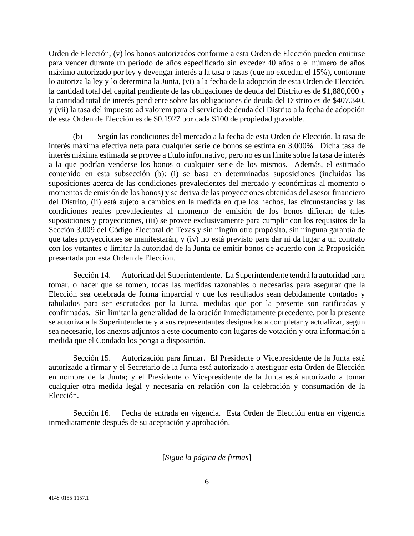Orden de Elección, (v) los bonos autorizados conforme a esta Orden de Elección pueden emitirse para vencer durante un período de años especificado sin exceder 40 años o el número de años máximo autorizado por ley y devengar interés a la tasa o tasas (que no excedan el 15%), conforme lo autoriza la ley y lo determina la Junta, (vi) a la fecha de la adopción de esta Orden de Elección, la cantidad total del capital pendiente de las obligaciones de deuda del Distrito es de \$1,880,000 y la cantidad total de interés pendiente sobre las obligaciones de deuda del Distrito es de \$407.340, y (vii) la tasa del impuesto ad valorem para el servicio de deuda del Distrito a la fecha de adopción de esta Orden de Elección es de \$0.1927 por cada \$100 de propiedad gravable.

(b) Según las condiciones del mercado a la fecha de esta Orden de Elección, la tasa de interés máxima efectiva neta para cualquier serie de bonos se estima en 3.000%. Dicha tasa de interés máxima estimada se provee a título informativo, pero no es un límite sobre la tasa de interés a la que podrían venderse los bonos o cualquier serie de los mismos. Además, el estimado contenido en esta subsección (b): (i) se basa en determinadas suposiciones (incluidas las suposiciones acerca de las condiciones prevalecientes del mercado y económicas al momento o momentos de emisión de los bonos) y se deriva de las proyecciones obtenidas del asesor financiero del Distrito, (ii) está sujeto a cambios en la medida en que los hechos, las circunstancias y las condiciones reales prevalecientes al momento de emisión de los bonos difieran de tales suposiciones y proyecciones, (iii) se provee exclusivamente para cumplir con los requisitos de la Sección 3.009 del Código Electoral de Texas y sin ningún otro propósito, sin ninguna garantía de que tales proyecciones se manifestarán, y (iv) no está previsto para dar ni da lugar a un contrato con los votantes o limitar la autoridad de la Junta de emitir bonos de acuerdo con la Proposición presentada por esta Orden de Elección.

Sección 14. Autoridad del Superintendente. La Superintendente tendrá la autoridad para tomar, o hacer que se tomen, todas las medidas razonables o necesarias para asegurar que la Elección sea celebrada de forma imparcial y que los resultados sean debidamente contados y tabulados para ser escrutados por la Junta, medidas que por la presente son ratificadas y confirmadas. Sin limitar la generalidad de la oración inmediatamente precedente, por la presente se autoriza a la Superintendente y a sus representantes designados a completar y actualizar, según sea necesario, los anexos adjuntos a este documento con lugares de votación y otra información a medida que el Condado los ponga a disposición.

Sección 15. Autorización para firmar. El Presidente o Vicepresidente de la Junta está autorizado a firmar y el Secretario de la Junta está autorizado a atestiguar esta Orden de Elección en nombre de la Junta; y el Presidente o Vicepresidente de la Junta está autorizado a tomar cualquier otra medida legal y necesaria en relación con la celebración y consumación de la Elección.

Sección 16. Fecha de entrada en vigencia. Esta Orden de Elección entra en vigencia inmediatamente después de su aceptación y aprobación.

#### [*Sigue la página de firmas*]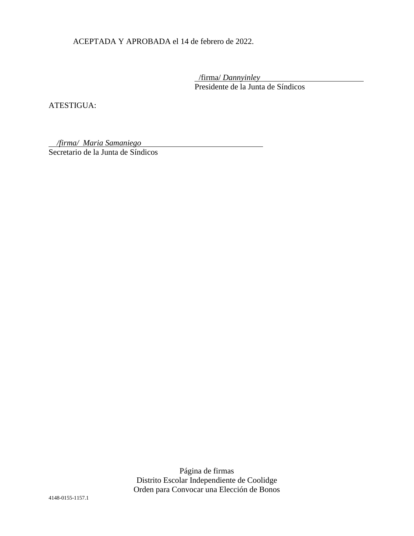ACEPTADA Y APROBADA el 14 de febrero de 2022.

 /firma/ *Dannyinley* Presidente de la Junta de Síndicos

ATESTIGUA:

*/firma/ Maria Samaniego*

Secretario de la Junta de Síndicos

Página de firmas Distrito Escolar Independiente de Coolidge Orden para Convocar una Elección de Bonos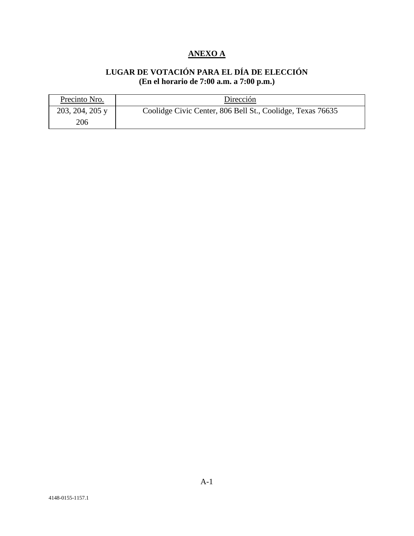# **ANEXO A**

## **LUGAR DE VOTACIÓN PARA EL DÍA DE ELECCIÓN (En el horario de 7:00 a.m. a 7:00 p.m.)**

| Precinto Nro.   | Dirección                                                  |
|-----------------|------------------------------------------------------------|
| 203, 204, 205 y | Coolidge Civic Center, 806 Bell St., Coolidge, Texas 76635 |
| 206             |                                                            |